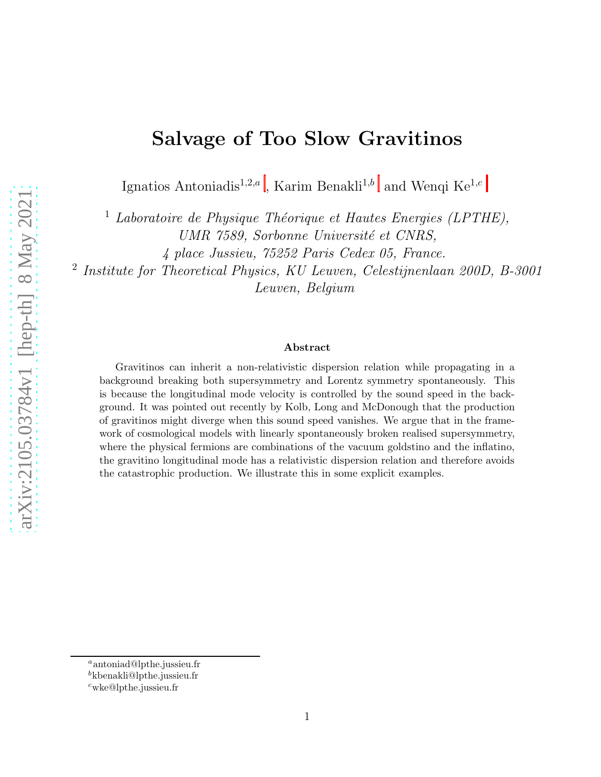# Salvage of Too Slow Gravitinos

Ignatios Antoniadis<sup>1[,](#page-0-0)2,a</sup>, Karim Benakli<sup>1,b</sup> and Wenqi Ke<sup>1,c</sup>

<sup>1</sup> Laboratoire de Physique Théorique et Hautes Energies (LPTHE), UMR 7589, Sorbonne Université et CNRS,

4 place Jussieu, 75252 Paris Cedex 05, France.

2 Institute for Theoretical Physics, KU Leuven, Celestijnenlaan 200D, B-3001

Leuven, Belgium

#### Abstract

Gravitinos can inherit a non-relativistic dispersion relation while propagating in a background breaking both supersymmetry and Lorentz symmetry spontaneously. This is because the longitudinal mode velocity is controlled by the sound speed in the background. It was pointed out recently by Kolb, Long and McDonough that the production of gravitinos might diverge when this sound speed vanishes. We argue that in the framework of cosmological models with linearly spontaneously broken realised supersymmetry, where the physical fermions are combinations of the vacuum goldstino and the inflatino, the gravitino longitudinal mode has a relativistic dispersion relation and therefore avoids the catastrophic production. We illustrate this in some explicit examples.

<sup>a</sup>antoniad@lpthe.jussieu.fr

<span id="page-0-0"></span><sup>b</sup>kbenakli@lpthe.jussieu.fr

 $c$ wke@lpthe.jussieu.fr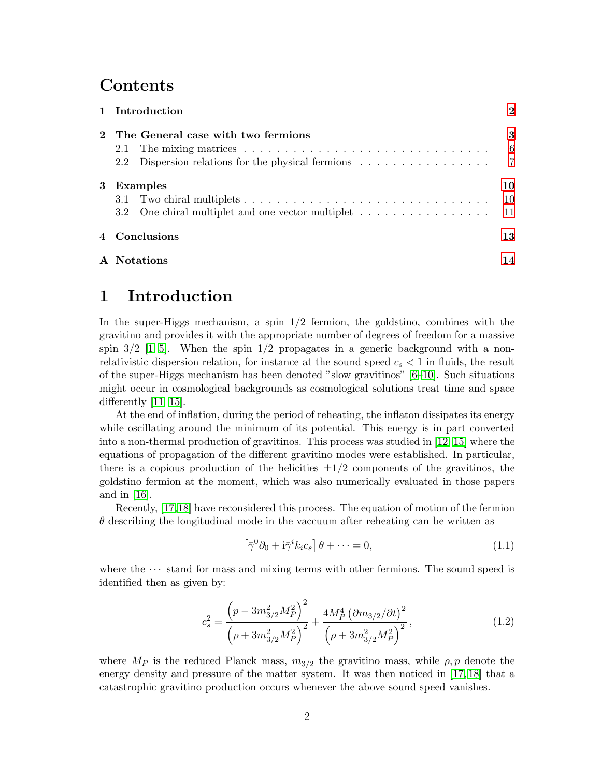# **Contents**

|   | 1 Introduction                                                                                                                  | $\mathbf{2}$ |
|---|---------------------------------------------------------------------------------------------------------------------------------|--------------|
|   | The General case with two fermions<br>2.2 Dispersion relations for the physical fermions $\ldots \ldots \ldots \ldots \ldots$ 7 | 3<br>6       |
| 3 | Examples<br>3.2 One chiral multiplet and one vector multiplet 11                                                                | 10<br>10     |
|   | 4 Conclusions                                                                                                                   | 13           |
|   | A Notations                                                                                                                     | 14           |

# <span id="page-1-0"></span>1 Introduction

In the super-Higgs mechanism, a spin  $1/2$  fermion, the goldstino, combines with the gravitino and provides it with the appropriate number of degrees of freedom for a massive spin  $3/2$  [\[1](#page-14-0)[–5\]](#page-14-1). When the spin  $1/2$  propagates in a generic background with a nonrelativistic dispersion relation, for instance at the sound speed  $c_s < 1$  in fluids, the result of the super-Higgs mechanism has been denoted "slow gravitinos" [\[6](#page-14-2)[–10\]](#page-14-3). Such situations might occur in cosmological backgrounds as cosmological solutions treat time and space differently [\[11–](#page-14-4)[15\]](#page-15-0).

At the end of inflation, during the period of reheating, the inflaton dissipates its energy while oscillating around the minimum of its potential. This energy is in part converted into a non-thermal production of gravitinos. This process was studied in [\[12–](#page-14-5)[15\]](#page-15-0) where the equations of propagation of the different gravitino modes were established. In particular, there is a copious production of the helicities  $\pm 1/2$  components of the gravitinos, the goldstino fermion at the moment, which was also numerically evaluated in those papers and in [\[16\]](#page-15-1).

Recently, [\[17,](#page-15-2)[18\]](#page-15-3) have reconsidered this process. The equation of motion of the fermion  $\theta$  describing the longitudinal mode in the vaccuum after reheating can be written as

<span id="page-1-1"></span>
$$
\left[\bar{\gamma}^0 \partial_0 + \mathrm{i} \bar{\gamma}^i k_i c_s\right] \theta + \dots = 0,\tag{1.1}
$$

where the  $\cdots$  stand for mass and mixing terms with other fermions. The sound speed is identified then as given by:

<span id="page-1-2"></span>
$$
c_s^2 = \frac{\left(p - 3m_{3/2}^2 M_P^2\right)^2}{\left(\rho + 3m_{3/2}^2 M_P^2\right)^2} + \frac{4M_P^4 \left(\partial m_{3/2}/\partial t\right)^2}{\left(\rho + 3m_{3/2}^2 M_P^2\right)^2},\tag{1.2}
$$

where  $M_P$  is the reduced Planck mass,  $m_{3/2}$  the gravitino mass, while  $\rho, p$  denote the energy density and pressure of the matter system. It was then noticed in [\[17,](#page-15-2) [18\]](#page-15-3) that a catastrophic gravitino production occurs whenever the above sound speed vanishes.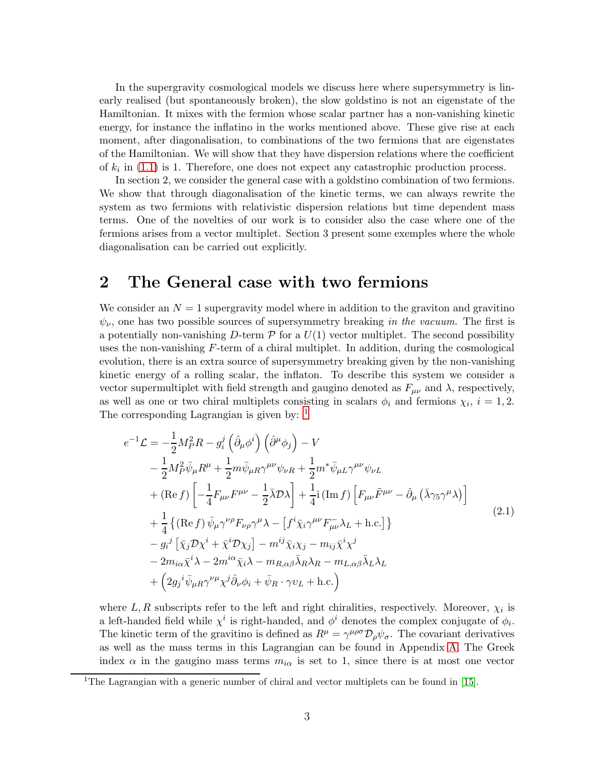In the supergravity cosmological models we discuss here where supersymmetry is linearly realised (but spontaneously broken), the slow goldstino is not an eigenstate of the Hamiltonian. It mixes with the fermion whose scalar partner has a non-vanishing kinetic energy, for instance the inflatino in the works mentioned above. These give rise at each moment, after diagonalisation, to combinations of the two fermions that are eigenstates of the Hamiltonian. We will show that they have dispersion relations where the coefficient of  $k_i$  in [\(1.1\)](#page-1-1) is 1. Therefore, one does not expect any catastrophic production process.

In section 2, we consider the general case with a goldstino combination of two fermions. We show that through diagonalisation of the kinetic terms, we can always rewrite the system as two fermions with relativistic dispersion relations but time dependent mass terms. One of the novelties of our work is to consider also the case where one of the fermions arises from a vector multiplet. Section 3 present some exemples where the whole diagonalisation can be carried out explicitly.

# <span id="page-2-0"></span>2 The General case with two fermions

We consider an  $N = 1$  supergravity model where in addition to the graviton and gravitino  $\psi_{\nu}$ , one has two possible sources of supersymmetry breaking in the vacuum. The first is a potentially non-vanishing D-term  $P$  for a  $U(1)$  vector multiplet. The second possibility uses the non-vanishing  $F$ -term of a chiral multiplet. In addition, during the cosmological evolution, there is an extra source of supersymmetry breaking given by the non-vanishing kinetic energy of a rolling scalar, the inflaton. To describe this system we consider a vector supermultiplet with field strength and gaugino denoted as  $F_{\mu\nu}$  and  $\lambda$ , respectively, as well as one or two chiral multiplets consisting in scalars  $\phi_i$  and fermions  $\chi_i$ ,  $i = 1, 2$ . The corresponding Lagrangian is given by: <sup>[1](#page-2-1)</sup>

<span id="page-2-2"></span>
$$
e^{-1}\mathcal{L} = -\frac{1}{2}M_P^2 R - g_i^j \left(\hat{\partial}_\mu \phi^i\right) \left(\hat{\partial}^\mu \phi_j\right) - V
$$
  
\n
$$
- \frac{1}{2}M_P^2 \bar{\psi}_\mu R^\mu + \frac{1}{2}m \bar{\psi}_\mu R \gamma^{\mu\nu} \psi_{\nu R} + \frac{1}{2}m^* \bar{\psi}_\mu L \gamma^{\mu\nu} \psi_{\nu L}
$$
  
\n
$$
+ (\text{Re } f) \left[ -\frac{1}{4} F_{\mu\nu} F^{\mu\nu} - \frac{1}{2} \bar{\lambda} \mathcal{D} \lambda \right] + \frac{1}{4} i (\text{Im } f) \left[ F_{\mu\nu} \tilde{F}^{\mu\nu} - \hat{\partial}_\mu \left( \bar{\lambda} \gamma_5 \gamma^\mu \lambda \right) \right]
$$
  
\n
$$
+ \frac{1}{4} \left\{ (\text{Re } f) \bar{\psi}_\mu \gamma^{\nu\rho} F_{\nu\rho} \gamma^\mu \lambda - \left[ f^i \bar{\chi}_i \gamma^{\mu\nu} F_{\mu\nu}^- \lambda_L + \text{h.c.} \right] \right\}
$$
  
\n
$$
- g_i^j \left[ \bar{\chi}_j \mathcal{D} \chi^i + \bar{\chi}^i \mathcal{D} \chi_j \right] - m^{ij} \bar{\chi}_i \chi_j - m_{ij} \bar{\chi}^i \chi^j
$$
  
\n
$$
- 2m_{i\alpha} \bar{\chi}^i \lambda - 2m^{i\alpha} \bar{\chi}_i \lambda - m_{R,\alpha\beta} \bar{\lambda}_R \lambda_R - m_{L,\alpha\beta} \bar{\lambda}_L \lambda_L
$$
  
\n
$$
+ \left( 2g_j{}^i \bar{\psi}_{\mu R} \gamma^{\nu\mu} \chi^j \hat{\partial}_\nu \phi_i + \bar{\psi}_R \cdot \gamma v_L + \text{h.c.} \right)
$$
  
\n(2.1)

where  $L, R$  subscripts refer to the left and right chiralities, respectively. Moreover,  $\chi_i$  is a left-handed field while  $\chi^i$  is right-handed, and  $\phi^i$  denotes the complex conjugate of  $\phi_i$ . The kinetic term of the gravitino is defined as  $R^{\mu} = \gamma^{\mu\rho\sigma} \mathcal{D}_{\rho} \psi_{\sigma}$ . The covariant derivatives as well as the mass terms in this Lagrangian can be found in Appendix [A.](#page-13-0) The Greek index  $\alpha$  in the gaugino mass terms  $m_{i\alpha}$  is set to 1, since there is at most one vector

<span id="page-2-1"></span><sup>&</sup>lt;sup>1</sup>The Lagrangian with a generic number of chiral and vector multiplets can be found in [\[15\]](#page-15-0).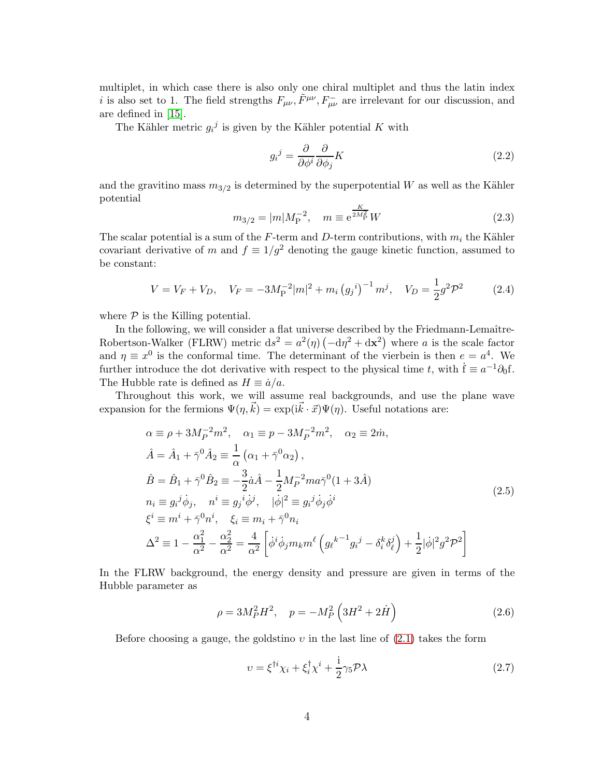multiplet, in which case there is also only one chiral multiplet and thus the latin index *i* is also set to 1. The field strengths  $F_{\mu\nu}$ ,  $\tilde{F}^{\mu\nu}$ ,  $F_{\mu\nu}^-$  are irrelevant for our discussion, and are defined in [\[15\]](#page-15-0).

The Kähler metric  $g_i^j$  is given by the Kähler potential K with

$$
g_i{}^j = \frac{\partial}{\partial \phi^i} \frac{\partial}{\partial \phi_j} K \tag{2.2}
$$

and the gravitino mass  $m_{3/2}$  is determined by the superpotential W as well as the Kähler potential

$$
m_{3/2} = |m|M_{\rm P}^{-2}, \quad m \equiv e^{\frac{K}{2M_{\rm P}^2}}W \tag{2.3}
$$

The scalar potential is a sum of the F-term and D-term contributions, with  $m_i$  the Kähler covariant derivative of m and  $f \equiv 1/g^2$  denoting the gauge kinetic function, assumed to be constant:

<span id="page-3-2"></span>
$$
V = V_F + V_D, \quad V_F = -3M_P^{-2}|m|^2 + m_i (g_j^i)^{-1} m^j, \quad V_D = \frac{1}{2}g^2 \mathcal{P}^2
$$
 (2.4)

where  $P$  is the Killing potential.

In the following, we will consider a flat universe described by the Friedmann-Lemaître-Robertson-Walker (FLRW) metric  $ds^2 = a^2(\eta) \left( -d\eta^2 + d\mathbf{x}^2 \right)$  where a is the scale factor and  $\eta \equiv x^0$  is the conformal time. The determinant of the vierbein is then  $e = a^4$ . We further introduce the dot derivative with respect to the physical time t, with  $\dot{f} \equiv a^{-1}\partial_0 f$ . The Hubble rate is defined as  $H \equiv \dot{a}/a$ .

Throughout this work, we will assume real backgrounds, and use the plane wave expansion for the fermions  $\Psi(\eta,\vec{k}) = \exp(i\vec{k} \cdot \vec{x}) \Psi(\eta)$ . Useful notations are:

<span id="page-3-1"></span>
$$
\alpha \equiv \rho + 3M_P^{-2}m^2, \quad \alpha_1 \equiv p - 3M_P^{-2}m^2, \quad \alpha_2 \equiv 2\dot{m}, \n\hat{A} = \hat{A}_1 + \bar{\gamma}^0 \hat{A}_2 \equiv \frac{1}{\alpha} \left( \alpha_1 + \bar{\gamma}^0 \alpha_2 \right), \n\hat{B} = \hat{B}_1 + \bar{\gamma}^0 \hat{B}_2 \equiv -\frac{3}{2}\dot{a}\hat{A} - \frac{1}{2}M_P^{-2}ma\bar{\gamma}^0(1+3\hat{A}) \nn_i \equiv g_i{}^j \dot{\phi}_j, \quad n^i \equiv g_j{}^i \dot{\phi}^j, \quad |\dot{\phi}|^2 \equiv g_i{}^j \dot{\phi}_j \dot{\phi}^i \n\xi^i \equiv m^i + \bar{\gamma}^0 n^i, \quad \xi_i \equiv m_i + \bar{\gamma}^0 n_i \n\Delta^2 \equiv 1 - \frac{\alpha_1^2}{\alpha^2} - \frac{\alpha_2^2}{\alpha^2} = \frac{4}{\alpha^2} \left[ \dot{\phi}^i \dot{\phi}_j m_k m^\ell \left( g_\ell{}^{k-1} g_i{}^j - \delta_i^k \delta_\ell^j \right) + \frac{1}{2} |\dot{\phi}|^2 g^2 \mathcal{P}^2 \right]
$$
\n(2.5)

In the FLRW background, the energy density and pressure are given in terms of the Hubble parameter as

$$
\rho = 3M_P^2 H^2, \quad p = -M_P^2 \left( 3H^2 + 2\dot{H} \right) \tag{2.6}
$$

Before choosing a gauge, the goldstino  $v$  in the last line of  $(2.1)$  takes the form

<span id="page-3-0"></span>
$$
\upsilon = \xi^{\dagger i} \chi_i + \xi_i^{\dagger} \chi^i + \frac{i}{2} \gamma_5 \mathcal{P} \lambda \tag{2.7}
$$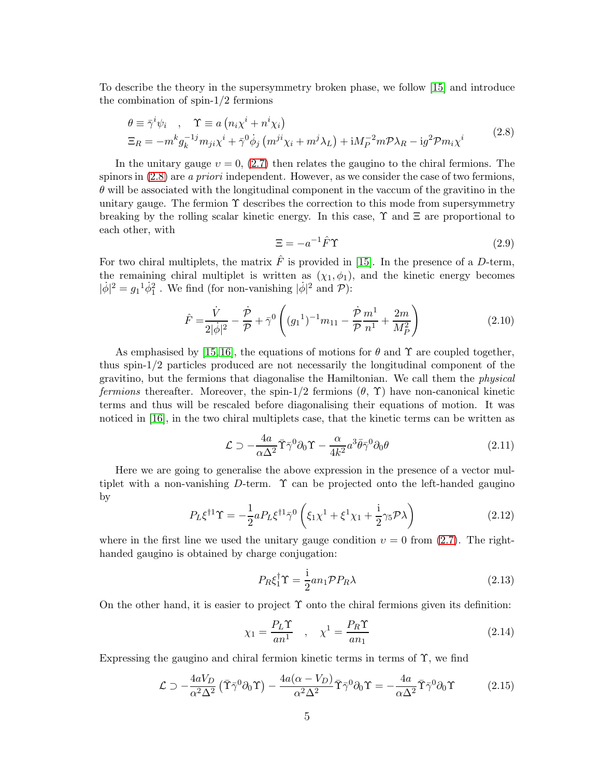To describe the theory in the supersymmetry broken phase, we follow [\[15\]](#page-15-0) and introduce the combination of spin-1/2 fermions

<span id="page-4-0"></span>
$$
\theta \equiv \bar{\gamma}^i \psi_i , \quad \Upsilon \equiv a \left( n_i \chi^i + n^i \chi_i \right)
$$
  
\n
$$
\Xi_R = -m^k g_k^{-1j} m_{ji} \chi^i + \bar{\gamma}^0 \dot{\phi}_j \left( m^{ji} \chi_i + m^j \lambda_L \right) + i M_P^{-2} m \mathcal{P} \lambda_R - i g^2 \mathcal{P} m_i \chi^i
$$
\n(2.8)

In the unitary gauge  $v = 0$ , [\(2.7\)](#page-3-0) then relates the gaugino to the chiral fermions. The spinors in  $(2.8)$  are *a priori* independent. However, as we consider the case of two fermions,  $\theta$  will be associated with the longitudinal component in the vaccum of the gravitino in the unitary gauge. The fermion  $\Upsilon$  describes the correction to this mode from supersymmetry breaking by the rolling scalar kinetic energy. In this case,  $\Upsilon$  and  $\Xi$  are proportional to each other, with

<span id="page-4-2"></span>
$$
\Xi = -a^{-1}\hat{F}\Upsilon \tag{2.9}
$$

For two chiral multiplets, the matrix  $\hat{F}$  is provided in [\[15\]](#page-15-0). In the presence of a D-term, the remaining chiral multiplet is written as  $(\chi_1, \phi_1)$ , and the kinetic energy becomes  $|\dot{\phi}|^2 = g_1^1 \dot{\phi}_1^2$ . We find (for non-vanishing  $|\dot{\phi}|^2$  and  $\mathcal{P}$ ):

<span id="page-4-4"></span>
$$
\hat{F} = \frac{\dot{V}}{2|\dot{\phi}|^2} - \frac{\dot{\mathcal{P}}}{\mathcal{P}} + \bar{\gamma}^0 \left( (g_1^{-1})^{-1} m_{11} - \frac{\dot{\mathcal{P}}}{\mathcal{P}} \frac{m^1}{n^1} + \frac{2m}{M_P^2} \right) \tag{2.10}
$$

As emphasised by [\[15,](#page-15-0) [16\]](#page-15-1), the equations of motions for  $\theta$  and  $\Upsilon$  are coupled together, thus spin-1/2 particles produced are not necessarily the longitudinal component of the gravitino, but the fermions that diagonalise the Hamiltonian. We call them the physical *fermions* thereafter. Moreover, the spin-1/2 fermions  $(\theta, \Upsilon)$  have non-canonical kinetic terms and thus will be rescaled before diagonalising their equations of motion. It was noticed in [\[16\]](#page-15-1), in the two chiral multiplets case, that the kinetic terms can be written as

<span id="page-4-1"></span>
$$
\mathcal{L} \supset -\frac{4a}{\alpha \Delta^2} \bar{\Upsilon} \bar{\gamma}^0 \partial_0 \Upsilon - \frac{\alpha}{4k^2} a^3 \bar{\theta} \bar{\gamma}^0 \partial_0 \theta \tag{2.11}
$$

Here we are going to generalise the above expression in the presence of a vector multiplet with a non-vanishing  $D$ -term.  $\Upsilon$  can be projected onto the left-handed gaugino by

$$
P_L \xi^{\dagger 1} \Upsilon = -\frac{1}{2} a P_L \xi^{\dagger 1} \overline{\gamma}^0 \left( \xi_1 \chi^1 + \xi^1 \chi_1 + \frac{i}{2} \gamma_5 \mathcal{P} \lambda \right)
$$
(2.12)

where in the first line we used the unitary gauge condition  $v = 0$  from [\(2.7\)](#page-3-0). The righthanded gaugino is obtained by charge conjugation:

$$
P_R \xi_1^{\dagger} \Upsilon = \frac{1}{2} a n_1 \mathcal{P} P_R \lambda \tag{2.13}
$$

On the other hand, it is easier to project  $\Upsilon$  onto the chiral fermions given its definition:

$$
\chi_1 = \frac{P_L \Upsilon}{an^1} \quad , \quad \chi^1 = \frac{P_R \Upsilon}{an_1} \tag{2.14}
$$

Expressing the gaugino and chiral fermion kinetic terms in terms of  $\Upsilon$ , we find

<span id="page-4-3"></span>
$$
\mathcal{L} \supset -\frac{4aV_D}{\alpha^2 \Delta^2} \left( \bar{\Upsilon} \bar{\gamma}^0 \partial_0 \Upsilon \right) - \frac{4a(\alpha - V_D)}{\alpha^2 \Delta^2} \bar{\Upsilon} \bar{\gamma}^0 \partial_0 \Upsilon = -\frac{4a}{\alpha \Delta^2} \bar{\Upsilon} \bar{\gamma}^0 \partial_0 \Upsilon \tag{2.15}
$$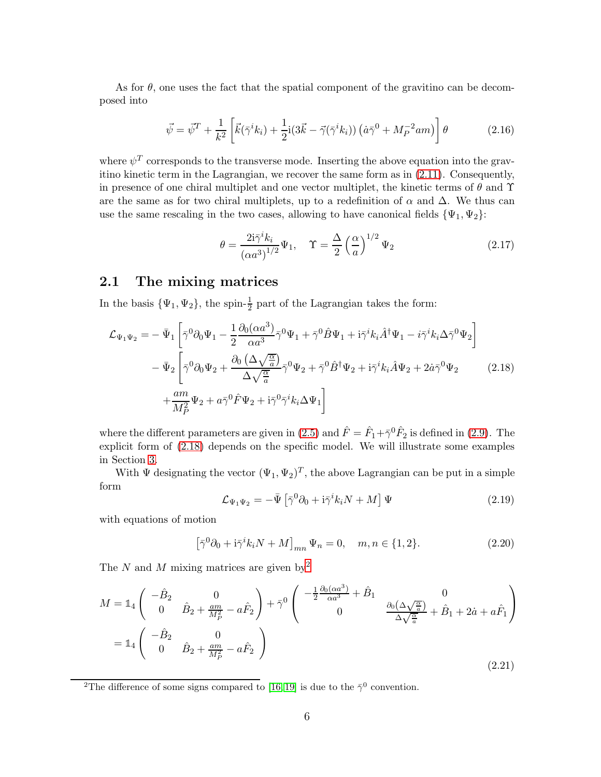As for  $\theta$ , one uses the fact that the spatial component of the gravitino can be decomposed into

$$
\vec{\psi} = \vec{\psi}^T + \frac{1}{k^2} \left[ \vec{k} (\vec{\gamma}^i k_i) + \frac{1}{2} i (3\vec{k} - \vec{\gamma} (\vec{\gamma}^i k_i)) (\dot{a} \vec{\gamma}^0 + M_P^{-2} a m) \right] \theta \tag{2.16}
$$

where  $\psi^T$  corresponds to the transverse mode. Inserting the above equation into the gravitino kinetic term in the Lagrangian, we recover the same form as in [\(2.11\)](#page-4-1). Consequently, in presence of one chiral multiplet and one vector multiplet, the kinetic terms of  $\theta$  and  $\Upsilon$ are the same as for two chiral multiplets, up to a redefinition of  $\alpha$  and  $\Delta$ . We thus can use the same rescaling in the two cases, allowing to have canonical fields  $\{\Psi_1, \Psi_2\}$ :

$$
\theta = \frac{2\mathrm{i}\bar{\gamma}^i k_i}{(\alpha a^3)^{1/2}} \Psi_1, \quad \Upsilon = \frac{\Delta}{2} \left(\frac{\alpha}{a}\right)^{1/2} \Psi_2 \tag{2.17}
$$

### <span id="page-5-0"></span>2.1 The mixing matrices

In the basis  $\{\Psi_1, \Psi_2\}$ , the spin- $\frac{1}{2}$  part of the Lagrangian takes the form:

<span id="page-5-1"></span>
$$
\mathcal{L}_{\Psi_1\Psi_2} = -\bar{\Psi}_1 \left[ \bar{\gamma}^0 \partial_0 \Psi_1 - \frac{1}{2} \frac{\partial_0 (\alpha a^3)}{\alpha a^3} \bar{\gamma}^0 \Psi_1 + \bar{\gamma}^0 \hat{B} \Psi_1 + i \bar{\gamma}^i k_i \hat{A}^\dagger \Psi_1 - i \bar{\gamma}^i k_i \Delta \bar{\gamma}^0 \Psi_2 \right] \n- \bar{\Psi}_2 \left[ \bar{\gamma}^0 \partial_0 \Psi_2 + \frac{\partial_0 (\Delta \sqrt{\frac{\alpha}{a}})}{\Delta \sqrt{\frac{\alpha}{a}}} \bar{\gamma}^0 \Psi_2 + \bar{\gamma}^0 \hat{B}^\dagger \Psi_2 + i \bar{\gamma}^i k_i \hat{A} \Psi_2 + 2 \dot{a} \bar{\gamma}^0 \Psi_2 \right] \n+ \frac{am}{M_P^2} \Psi_2 + a \bar{\gamma}^0 \hat{F} \Psi_2 + i \bar{\gamma}^0 \bar{\gamma}^i k_i \Delta \Psi_1 \right]
$$
\n(2.18)

where the different parameters are given in [\(2.5\)](#page-3-1) and  $\hat{F} = \hat{F}_1 + \bar{\gamma}^0 \hat{F}_2$  is defined in [\(2.9\)](#page-4-2). The explicit form of [\(2.18\)](#page-5-1) depends on the specific model. We will illustrate some examples in Section [3.](#page-9-0)

With  $\Psi$  designating the vector  $(\Psi_1, \Psi_2)^T$ , the above Lagrangian can be put in a simple form

$$
\mathcal{L}_{\Psi_1\Psi_2} = -\bar{\Psi} \left[ \bar{\gamma}^0 \partial_0 + i \bar{\gamma}^i k_i N + M \right] \Psi \tag{2.19}
$$

with equations of motion

$$
[\bar{\gamma}^0 \partial_0 + i \bar{\gamma}^i k_i N + M]_{mn} \Psi_n = 0, \quad m, n \in \{1, 2\}.
$$
 (2.20)

The N and M mixing matrices are given by  $2^2$  $2^2$ 

<span id="page-5-3"></span>
$$
M = \mathbb{1}_4 \begin{pmatrix} -\hat{B}_2 & 0 \\ 0 & \hat{B}_2 + \frac{am}{M_P^2} - a\hat{F}_2 \end{pmatrix} + \bar{\gamma}^0 \begin{pmatrix} -\frac{1}{2} \frac{\partial_0 (\alpha a^3)}{\alpha a^3} + \hat{B}_1 & 0 \\ 0 & \frac{\partial_0 (\Delta \sqrt{\frac{\alpha}{a}})}{\Delta \sqrt{\frac{\alpha}{a}}} + \hat{B}_1 + 2\dot{a} + a\hat{F}_1 \end{pmatrix}
$$
  
=  $\mathbb{1}_4 \begin{pmatrix} -\hat{B}_2 & 0 \\ 0 & \hat{B}_2 + \frac{am}{M_P^2} - a\hat{F}_2 \end{pmatrix}$  (2.21)

<span id="page-5-2"></span><sup>2</sup>The difference of some signs compared to [\[16,](#page-15-1)19] is due to the  $\bar{\gamma}^0$  convention.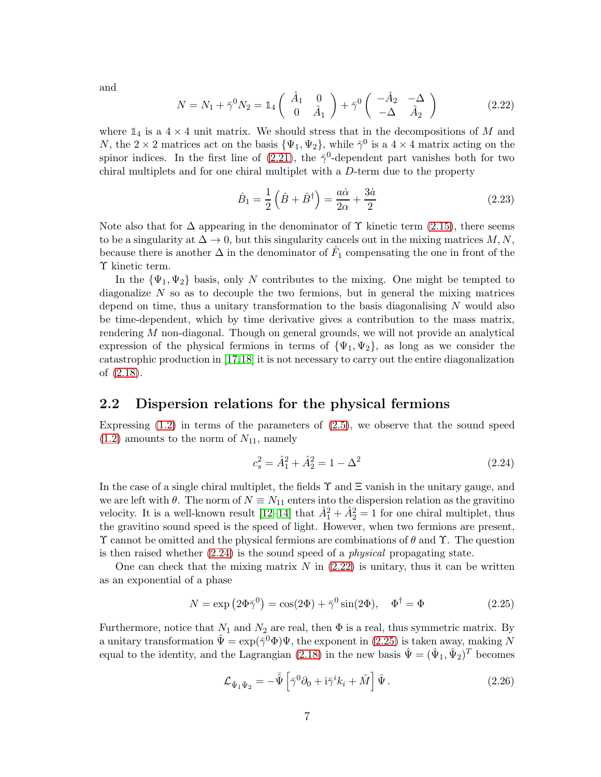and

<span id="page-6-2"></span>
$$
N = N_1 + \bar{\gamma}^0 N_2 = \mathbb{1}_4 \left( \begin{array}{cc} \hat{A}_1 & 0 \\ 0 & \hat{A}_1 \end{array} \right) + \bar{\gamma}^0 \left( \begin{array}{cc} -\hat{A}_2 & -\Delta \\ -\Delta & \hat{A}_2 \end{array} \right) \tag{2.22}
$$

where  $\mathbb{1}_4$  is a  $4 \times 4$  unit matrix. We should stress that in the decompositions of M and N, the 2 × 2 matrices act on the basis  $\{\Psi_1, \Psi_2\}$ , while  $\bar{\gamma}^0$  is a 4 × 4 matrix acting on the spinor indices. In the first line of [\(2.21\)](#page-5-3), the  $\bar{\gamma}^0$ -dependent part vanishes both for two chiral multiplets and for one chiral multiplet with a  $D$ -term due to the property

$$
\hat{B}_1 = \frac{1}{2} \left( \hat{B} + \hat{B}^\dagger \right) = \frac{a\dot{\alpha}}{2\alpha} + \frac{3\dot{a}}{2} \tag{2.23}
$$

Note also that for  $\Delta$  appearing in the denominator of  $\Upsilon$  kinetic term [\(2.15\)](#page-4-3), there seems to be a singularity at  $\Delta \to 0$ , but this singularity cancels out in the mixing matrices  $M, N$ , because there is another  $\Delta$  in the denominator of  $\hat{F}_1$  compensating the one in front of the Υ kinetic term.

In the  $\{\Psi_1, \Psi_2\}$  basis, only N contributes to the mixing. One might be tempted to diagonalize  $N$  so as to decouple the two fermions, but in general the mixing matrices depend on time, thus a unitary transformation to the basis diagonalising  $N$  would also be time-dependent, which by time derivative gives a contribution to the mass matrix, rendering M non-diagonal. Though on general grounds, we will not provide an analytical expression of the physical fermions in terms of  ${\Psi_1, \Psi_2}$ , as long as we consider the catastrophic production in [\[17,](#page-15-2)[18\]](#page-15-3) it is not necessary to carry out the entire diagonalization of [\(2.18\)](#page-5-1).

### <span id="page-6-0"></span>2.2 Dispersion relations for the physical fermions

Expressing  $(1.2)$  in terms of the parameters of  $(2.5)$ , we observe that the sound speed  $(1.2)$  amounts to the norm of  $N_{11}$ , namely

<span id="page-6-1"></span>
$$
c_s^2 = \hat{A}_1^2 + \hat{A}_2^2 = 1 - \Delta^2 \tag{2.24}
$$

In the case of a single chiral multiplet, the fields  $\Upsilon$  and  $\Xi$  vanish in the unitary gauge, and we are left with  $\theta$ . The norm of  $N \equiv N_{11}$  enters into the dispersion relation as the gravitino velocity. It is a well-known result  $[12-14]$  that  $\hat{A}_1^2 + \hat{A}_2^2 = 1$  for one chiral multiplet, thus the gravitino sound speed is the speed of light. However, when two fermions are present,  $\Upsilon$  cannot be omitted and the physical fermions are combinations of  $\theta$  and  $\Upsilon$ . The question is then raised whether  $(2.24)$  is the sound speed of a *physical* propagating state.

One can check that the mixing matrix  $N$  in  $(2.22)$  is unitary, thus it can be written as an exponential of a phase

<span id="page-6-3"></span>
$$
N = \exp\left(2\Phi\bar{\gamma}^0\right) = \cos(2\Phi) + \bar{\gamma}^0\sin(2\Phi), \quad \Phi^\dagger = \Phi \tag{2.25}
$$

Furthermore, notice that  $N_1$  and  $N_2$  are real, then  $\Phi$  is a real, thus symmetric matrix. By a unitary transformation  $\hat{\Psi} = \exp(\bar{\gamma}^0 \Phi) \Psi$ , the exponent in [\(2.25\)](#page-6-3) is taken away, making N equal to the identity, and the Lagrangian [\(2.18\)](#page-5-1) in the new basis  $\hat{\Psi} = (\hat{\Psi}_1, \hat{\Psi}_2)^T$  becomes

<span id="page-6-4"></span>
$$
\mathcal{L}_{\hat{\Psi}_1 \hat{\Psi}_2} = -\overline{\hat{\Psi}} \left[ \overline{\gamma}^0 \partial_0 + i \overline{\gamma}^i k_i + \hat{M} \right] \hat{\Psi} . \tag{2.26}
$$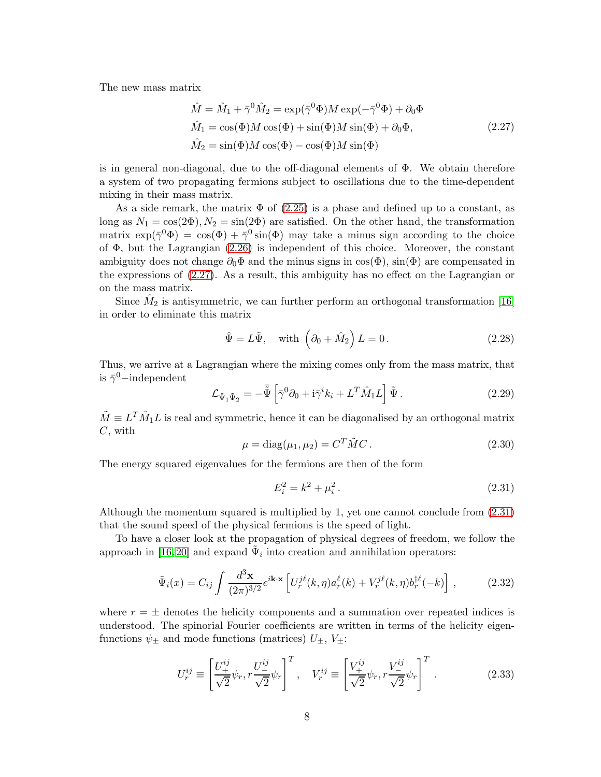The new mass matrix

<span id="page-7-0"></span>
$$
\hat{M} = \hat{M}_1 + \bar{\gamma}^0 \hat{M}_2 = \exp(\bar{\gamma}^0 \Phi) M \exp(-\bar{\gamma}^0 \Phi) + \partial_0 \Phi
$$
  
\n
$$
\hat{M}_1 = \cos(\Phi) M \cos(\Phi) + \sin(\Phi) M \sin(\Phi) + \partial_0 \Phi,
$$
  
\n
$$
\hat{M}_2 = \sin(\Phi) M \cos(\Phi) - \cos(\Phi) M \sin(\Phi)
$$
\n(2.27)

is in general non-diagonal, due to the off-diagonal elements of  $\Phi$ . We obtain therefore a system of two propagating fermions subject to oscillations due to the time-dependent mixing in their mass matrix.

As a side remark, the matrix  $\Phi$  of [\(2.25\)](#page-6-3) is a phase and defined up to a constant, as long as  $N_1 = \cos(2\Phi), N_2 = \sin(2\Phi)$  are satisfied. On the other hand, the transformation matrix  $\exp(\bar{\gamma}^0 \Phi) = \cos(\Phi) + \bar{\gamma}^0 \sin(\Phi)$  may take a minus sign according to the choice of  $\Phi$ , but the Lagrangian  $(2.26)$  is independent of this choice. Moreover, the constant ambiguity does not change  $\partial_0\Phi$  and the minus signs in  $\cos(\Phi)$ ,  $\sin(\Phi)$  are compensated in the expressions of [\(2.27\)](#page-7-0). As a result, this ambiguity has no effect on the Lagrangian or on the mass matrix.

Since  $\hat{M}_2$  is antisymmetric, we can further perform an orthogonal transformation [\[16\]](#page-15-1) in order to eliminate this matrix

<span id="page-7-3"></span>
$$
\hat{\Psi} = L\tilde{\Psi}, \quad \text{with } \left(\partial_0 + \hat{M}_2\right)L = 0. \tag{2.28}
$$

Thus, we arrive at a Lagrangian where the mixing comes only from the mass matrix, that is  $\bar{\gamma}^0$ -independent

$$
\mathcal{L}_{\tilde{\Psi}_1 \tilde{\Psi}_2} = -\tilde{\bar{\Psi}} \left[ \bar{\gamma}^0 \partial_0 + i \bar{\gamma}^i k_i + L^T \hat{M}_1 L \right] \tilde{\Psi} . \qquad (2.29)
$$

 $\tilde{M} \equiv L^T \hat{M}_1 L$  is real and symmetric, hence it can be diagonalised by an orthogonal matrix  $C$ , with

<span id="page-7-2"></span>
$$
\mu = \text{diag}(\mu_1, \mu_2) = C^T \tilde{M} C. \qquad (2.30)
$$

The energy squared eigenvalues for the fermions are then of the form

<span id="page-7-1"></span>
$$
E_i^2 = k^2 + \mu_i^2. \tag{2.31}
$$

Although the momentum squared is multiplied by 1, yet one cannot conclude from [\(2.31\)](#page-7-1) that the sound speed of the physical fermions is the speed of light.

To have a closer look at the propagation of physical degrees of freedom, we follow the approach in [\[16,](#page-15-1) [20\]](#page-15-6) and expand  $\tilde{\Psi}_i$  into creation and annihilation operators:

<span id="page-7-4"></span>
$$
\tilde{\Psi}_i(x) = C_{ij} \int \frac{d^3 \mathbf{x}}{(2\pi)^{3/2}} e^{i\mathbf{k} \cdot \mathbf{x}} \left[ U_r^{j\ell}(k,\eta) a_r^{\ell}(k) + V_r^{j\ell}(k,\eta) b_r^{\dagger \ell}(-k) \right], \tag{2.32}
$$

where  $r = \pm$  denotes the helicity components and a summation over repeated indices is understood. The spinorial Fourier coefficients are written in terms of the helicity eigenfunctions  $\psi_{\pm}$  and mode functions (matrices)  $U_{\pm}$ ,  $V_{\pm}$ :

$$
U_r^{ij} \equiv \left[ \frac{U_+^{ij}}{\sqrt{2}} \psi_r, r \frac{U_-^{ij}}{\sqrt{2}} \psi_r \right]^T, \quad V_r^{ij} \equiv \left[ \frac{V_+^{ij}}{\sqrt{2}} \psi_r, r \frac{V_-^{ij}}{\sqrt{2}} \psi_r \right]^T.
$$
 (2.33)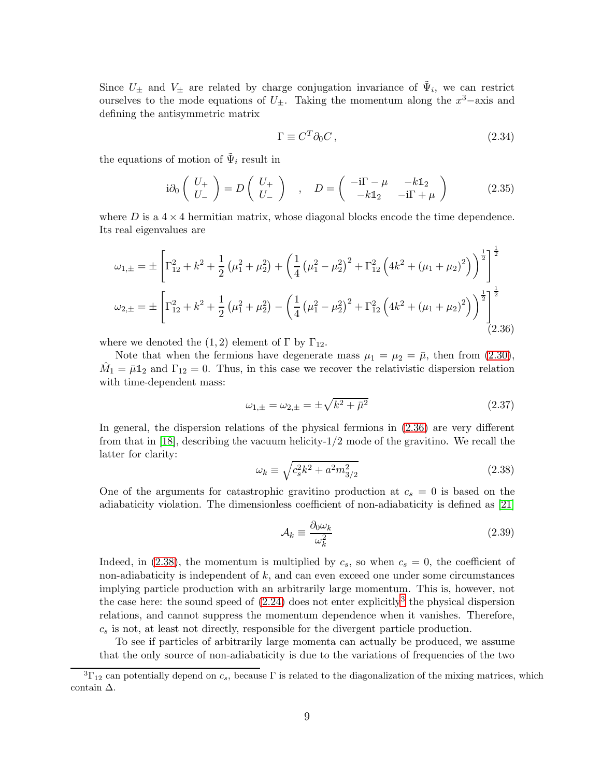Since  $U_{\pm}$  and  $V_{\pm}$  are related by charge conjugation invariance of  $\tilde{\Psi}_i$ , we can restrict ourselves to the mode equations of  $U_{\pm}$ . Taking the momentum along the  $x^3$ -axis and defining the antisymmetric matrix

<span id="page-8-3"></span>
$$
\Gamma \equiv C^T \partial_0 C \,, \tag{2.34}
$$

the equations of motion of  $\tilde{\Psi}_i$  result in

$$
i\partial_0 \begin{pmatrix} U_+ \\ U_- \end{pmatrix} = D \begin{pmatrix} U_+ \\ U_- \end{pmatrix} , D = \begin{pmatrix} -i\Gamma - \mu & -k\mathbb{1}_2 \\ -k\mathbb{1}_2 & -i\Gamma + \mu \end{pmatrix}
$$
 (2.35)

where D is a  $4 \times 4$  hermitian matrix, whose diagonal blocks encode the time dependence. Its real eigenvalues are

<span id="page-8-0"></span>
$$
\omega_{1,\pm} = \pm \left[ \Gamma_{12}^2 + k^2 + \frac{1}{2} \left( \mu_1^2 + \mu_2^2 \right) + \left( \frac{1}{4} \left( \mu_1^2 - \mu_2^2 \right)^2 + \Gamma_{12}^2 \left( 4k^2 + (\mu_1 + \mu_2)^2 \right) \right)^{\frac{1}{2}} \right]^{\frac{1}{2}}
$$
  

$$
\omega_{2,\pm} = \pm \left[ \Gamma_{12}^2 + k^2 + \frac{1}{2} \left( \mu_1^2 + \mu_2^2 \right) - \left( \frac{1}{4} \left( \mu_1^2 - \mu_2^2 \right)^2 + \Gamma_{12}^2 \left( 4k^2 + (\mu_1 + \mu_2)^2 \right) \right)^{\frac{1}{2}} \right]^{\frac{1}{2}}
$$
(2.36)

where we denoted the  $(1, 2)$  element of  $\Gamma$  by  $\Gamma_{12}$ .

Note that when the fermions have degenerate mass  $\mu_1 = \mu_2 = \bar{\mu}$ , then from [\(2.30\)](#page-7-2),  $\hat{M}_1 = \bar{\mu} \mathbb{1}_2$  and  $\Gamma_{12} = 0$ . Thus, in this case we recover the relativistic dispersion relation with time-dependent mass:

$$
\omega_{1,\pm} = \omega_{2,\pm} = \pm \sqrt{k^2 + \bar{\mu}^2} \tag{2.37}
$$

In general, the dispersion relations of the physical fermions in [\(2.36\)](#page-8-0) are very different from that in [\[18\]](#page-15-3), describing the vacuum helicity-1/2 mode of the gravitino. We recall the latter for clarity:

<span id="page-8-1"></span>
$$
\omega_k \equiv \sqrt{c_s^2 k^2 + a^2 m_{3/2}^2} \tag{2.38}
$$

One of the arguments for catastrophic gravitino production at  $c_s = 0$  is based on the adiabaticity violation. The dimensionless coefficient of non-adiabaticity is defined as [\[21\]](#page-15-7)

$$
\mathcal{A}_k \equiv \frac{\partial_0 \omega_k}{\omega_k^2} \tag{2.39}
$$

Indeed, in [\(2.38\)](#page-8-1), the momentum is multiplied by  $c_s$ , so when  $c_s = 0$ , the coefficient of non-adiabaticity is independent of  $k$ , and can even exceed one under some circumstances implying particle production with an arbitrarily large momentum. This is, however, not the case here: the sound speed of  $(2.24)$  does not enter explicitly<sup>[3](#page-8-2)</sup> the physical dispersion relations, and cannot suppress the momentum dependence when it vanishes. Therefore,  $c_s$  is not, at least not directly, responsible for the divergent particle production.

To see if particles of arbitrarily large momenta can actually be produced, we assume that the only source of non-adiabaticity is due to the variations of frequencies of the two

<span id="page-8-2"></span> ${}^{3}\Gamma_{12}$  can potentially depend on  $c_s$ , because  $\Gamma$  is related to the diagonalization of the mixing matrices, which contain ∆.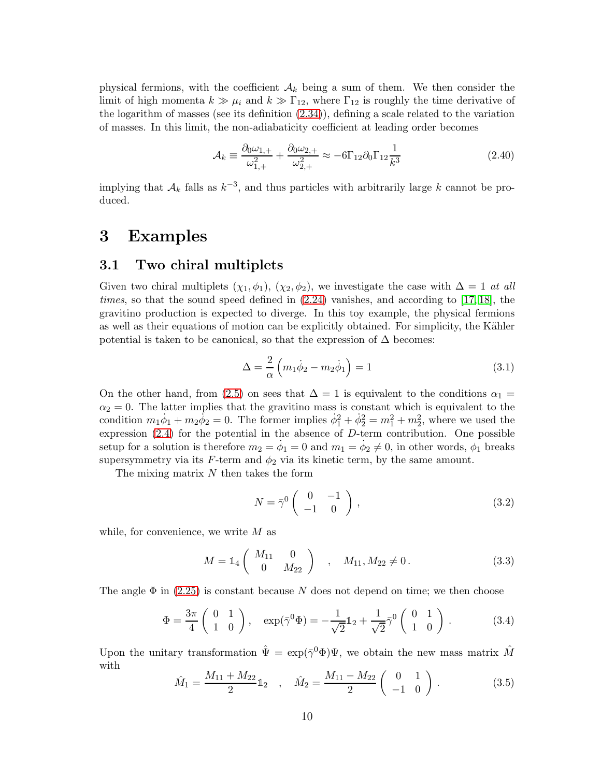physical fermions, with the coefficient  $A_k$  being a sum of them. We then consider the limit of high momenta  $k \gg \mu_i$  and  $k \gg \Gamma_{12}$ , where  $\Gamma_{12}$  is roughly the time derivative of the logarithm of masses (see its definition [\(2.34\)](#page-8-3)), defining a scale related to the variation of masses. In this limit, the non-adiabaticity coefficient at leading order becomes

$$
\mathcal{A}_k \equiv \frac{\partial_0 \omega_{1,+}}{\omega_{1,+}^2} + \frac{\partial_0 \omega_{2,+}}{\omega_{2,+}^2} \approx -6\Gamma_{12}\partial_0 \Gamma_{12} \frac{1}{k^3} \tag{2.40}
$$

implying that  $A_k$  falls as  $k^{-3}$ , and thus particles with arbitrarily large k cannot be produced.

### <span id="page-9-1"></span><span id="page-9-0"></span>3 Examples

#### 3.1 Two chiral multiplets

Given two chiral multiplets  $(\chi_1, \phi_1), (\chi_2, \phi_2)$ , we investigate the case with  $\Delta = 1$  at all times, so that the sound speed defined in  $(2.24)$  vanishes, and according to [\[17,](#page-15-2) [18\]](#page-15-3), the gravitino production is expected to diverge. In this toy example, the physical fermions as well as their equations of motion can be explicitly obtained. For simplicity, the Kähler potential is taken to be canonical, so that the expression of  $\Delta$  becomes:

$$
\Delta = \frac{2}{\alpha} \left( m_1 \dot{\phi}_2 - m_2 \dot{\phi}_1 \right) = 1 \tag{3.1}
$$

On the other hand, from [\(2.5\)](#page-3-1) on sees that  $\Delta = 1$  is equivalent to the conditions  $\alpha_1 =$  $\alpha_2 = 0$ . The latter implies that the gravitino mass is constant which is equivalent to the condition  $m_1\dot{\phi}_1 + m_2\dot{\phi}_2 = 0$ . The former implies  $\dot{\phi}_1^2 + \dot{\phi}_2^2 = m_1^2 + m_2^2$ , where we used the expression [\(2.4\)](#page-3-2) for the potential in the absence of D-term contribution. One possible setup for a solution is therefore  $m_2 = \dot{\phi}_1 = 0$  and  $m_1 = \dot{\phi}_2 \neq 0$ , in other words,  $\phi_1$  breaks supersymmetry via its  $F$ -term and  $\phi_2$  via its kinetic term, by the same amount.

The mixing matrix  $N$  then takes the form

<span id="page-9-2"></span>
$$
N = \bar{\gamma}^0 \begin{pmatrix} 0 & -1 \\ -1 & 0 \end{pmatrix}, \qquad (3.2)
$$

while, for convenience, we write  $M$  as

$$
M = \mathbb{1}_4 \left( \begin{array}{cc} M_{11} & 0 \\ 0 & M_{22} \end{array} \right) , \quad M_{11}, M_{22} \neq 0. \tag{3.3}
$$

The angle  $\Phi$  in [\(2.25\)](#page-6-3) is constant because N does not depend on time; we then choose

$$
\Phi = \frac{3\pi}{4} \begin{pmatrix} 0 & 1 \\ 1 & 0 \end{pmatrix}, \quad \exp(\bar{\gamma}^0 \Phi) = -\frac{1}{\sqrt{2}} \mathbb{1}_2 + \frac{1}{\sqrt{2}} \bar{\gamma}^0 \begin{pmatrix} 0 & 1 \\ 1 & 0 \end{pmatrix}.
$$
 (3.4)

Upon the unitary transformation  $\hat{\Psi} = \exp(\bar{\gamma}^0 \Phi) \Psi$ , we obtain the new mass matrix  $\hat{M}$ with

$$
\hat{M}_1 = \frac{M_{11} + M_{22}}{2} \mathbb{1}_2 \quad , \quad \hat{M}_2 = \frac{M_{11} - M_{22}}{2} \begin{pmatrix} 0 & 1 \\ -1 & 0 \end{pmatrix} . \tag{3.5}
$$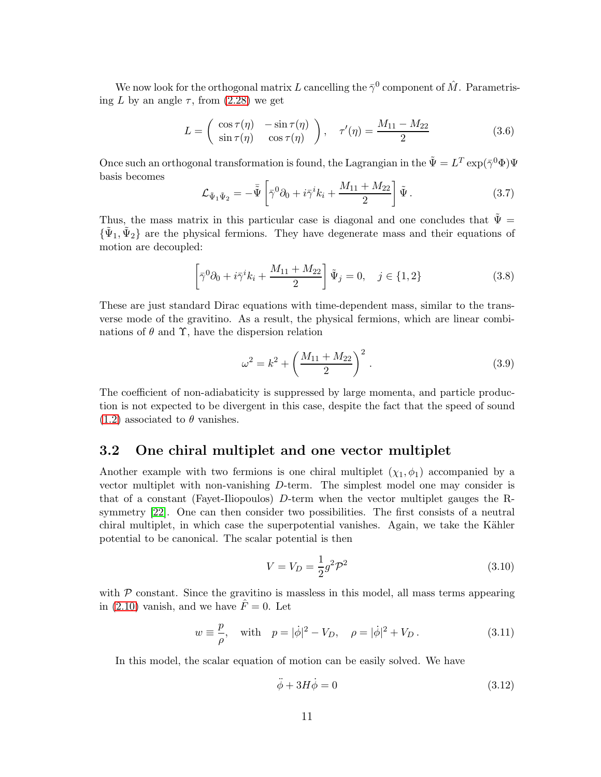We now look for the orthogonal matrix L cancelling the  $\bar{\gamma}^0$  component of  $\hat{M}$ . Parametrising L by an angle  $\tau$ , from [\(2.28\)](#page-7-3) we get

$$
L = \begin{pmatrix} \cos \tau(\eta) & -\sin \tau(\eta) \\ \sin \tau(\eta) & \cos \tau(\eta) \end{pmatrix}, \quad \tau'(\eta) = \frac{M_{11} - M_{22}}{2} \tag{3.6}
$$

Once such an orthogonal transformation is found, the Lagrangian in the  $\tilde{\Psi} = L^T \exp(\bar{\gamma}^0 \Phi) \Psi$ basis becomes

$$
\mathcal{L}_{\tilde{\Psi}_1 \tilde{\Psi}_2} = -\overline{\tilde{\Psi}} \left[ \overline{\gamma}^0 \partial_0 + i \overline{\gamma}^i k_i + \frac{M_{11} + M_{22}}{2} \right] \tilde{\Psi} . \tag{3.7}
$$

Thus, the mass matrix in this particular case is diagonal and one concludes that  $\tilde{\Psi} =$  $\{\tilde{\Psi}_1, \tilde{\Psi}_2\}$  are the physical fermions. They have degenerate mass and their equations of motion are decoupled:

$$
\left[\bar{\gamma}^0 \partial_0 + i \bar{\gamma}^i k_i + \frac{M_{11} + M_{22}}{2}\right] \tilde{\Psi}_j = 0, \quad j \in \{1, 2\}
$$
 (3.8)

These are just standard Dirac equations with time-dependent mass, similar to the transverse mode of the gravitino. As a result, the physical fermions, which are linear combinations of  $\theta$  and  $\Upsilon$ , have the dispersion relation

$$
\omega^2 = k^2 + \left(\frac{M_{11} + M_{22}}{2}\right)^2.
$$
\n(3.9)

The coefficient of non-adiabaticity is suppressed by large momenta, and particle production is not expected to be divergent in this case, despite the fact that the speed of sound  $(1.2)$  associated to  $\theta$  vanishes.

#### <span id="page-10-0"></span>3.2 One chiral multiplet and one vector multiplet

Another example with two fermions is one chiral multiplet  $(\chi_1, \phi_1)$  accompanied by a vector multiplet with non-vanishing D-term. The simplest model one may consider is that of a constant (Fayet-Iliopoulos) D-term when the vector multiplet gauges the Rsymmetry [\[22\]](#page-15-8). One can then consider two possibilities. The first consists of a neutral chiral multiplet, in which case the superpotential vanishes. Again, we take the Kähler potential to be canonical. The scalar potential is then

$$
V = V_D = \frac{1}{2}g^2 \mathcal{P}^2
$$
\n(3.10)

with  $P$  constant. Since the gravitino is massless in this model, all mass terms appearing in [\(2.10\)](#page-4-4) vanish, and we have  $\hat{F} = 0$ . Let

$$
w \equiv \frac{p}{\rho}
$$
, with  $p = |\dot{\phi}|^2 - V_D$ ,  $\rho = |\dot{\phi}|^2 + V_D$ . (3.11)

In this model, the scalar equation of motion can be easily solved. We have

$$
\ddot{\phi} + 3H\dot{\phi} = 0\tag{3.12}
$$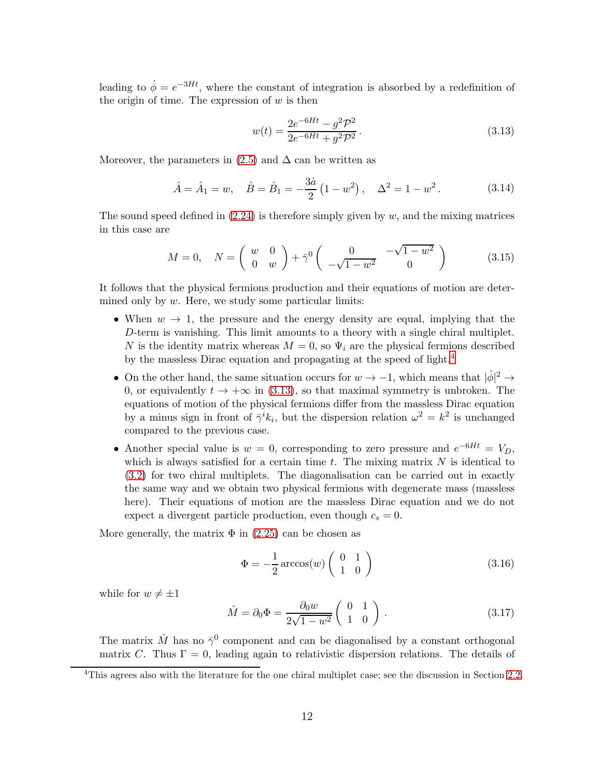leading to  $\dot{\phi} = e^{-3Ht}$ , where the constant of integration is absorbed by a redefinition of the origin of time. The expression of  $w$  is then

<span id="page-11-1"></span>
$$
w(t) = \frac{2e^{-6Ht} - g^2 \mathcal{P}^2}{2e^{-6Ht} + g^2 \mathcal{P}^2}.
$$
\n(3.13)

Moreover, the parameters in  $(2.5)$  and  $\Delta$  can be written as

$$
\hat{A} = \hat{A}_1 = w, \quad \hat{B} = \hat{B}_1 = -\frac{3\dot{a}}{2} (1 - w^2), \quad \Delta^2 = 1 - w^2.
$$
 (3.14)

The sound speed defined in  $(2.24)$  is therefore simply given by w, and the mixing matrices in this case are

$$
M = 0, \quad N = \left(\begin{array}{cc} w & 0 \\ 0 & w \end{array}\right) + \bar{\gamma}^0 \left(\begin{array}{cc} 0 & -\sqrt{1 - w^2} \\ -\sqrt{1 - w^2} & 0 \end{array}\right) \tag{3.15}
$$

It follows that the physical fermions production and their equations of motion are determined only by  $w$ . Here, we study some particular limits:

- When  $w \to 1$ , the pressure and the energy density are equal, implying that the D-term is vanishing. This limit amounts to a theory with a single chiral multiplet. N is the identity matrix whereas  $M = 0$ , so  $\Psi_i$  are the physical fermions described by the massless Dirac equation and propagating at the speed of light.[4](#page-11-0)
- On the other hand, the same situation occurs for  $w \to -1$ , which means that  $|\dot{\phi}|^2 \to$ 0, or equivalently  $t \to +\infty$  in [\(3.13\)](#page-11-1), so that maximal symmetry is unbroken. The equations of motion of the physical fermions differ from the massless Dirac equation by a minus sign in front of  $\bar{\gamma}^i k_i$ , but the dispersion relation  $\omega^2 = k^2$  is unchanged compared to the previous case.
- Another special value is  $w = 0$ , corresponding to zero pressure and  $e^{-6Ht} = V_D$ , which is always satisfied for a certain time  $t$ . The mixing matrix  $N$  is identical to [\(3.2\)](#page-9-2) for two chiral multiplets. The diagonalisation can be carried out in exactly the same way and we obtain two physical fermions with degenerate mass (massless here). Their equations of motion are the massless Dirac equation and we do not expect a divergent particle production, even though  $c_s = 0$ .

More generally, the matrix  $\Phi$  in [\(2.25\)](#page-6-3) can be chosen as

$$
\Phi = -\frac{1}{2}\arccos(w)\left(\begin{array}{cc} 0 & 1\\ 1 & 0 \end{array}\right) \tag{3.16}
$$

while for  $w \neq \pm 1$ 

$$
\hat{M} = \partial_0 \Phi = \frac{\partial_0 w}{2\sqrt{1 - w^2}} \begin{pmatrix} 0 & 1 \\ 1 & 0 \end{pmatrix} . \tag{3.17}
$$

The matrix  $\hat{M}$  has no  $\bar{\gamma}^0$  component and can be diagonalised by a constant orthogonal matrix C. Thus  $\Gamma = 0$ , leading again to relativistic dispersion relations. The details of

<span id="page-11-0"></span><sup>&</sup>lt;sup>4</sup>This agrees also with the literature for the one chiral multiplet case; see the discussion in Section [2.2.](#page-6-0)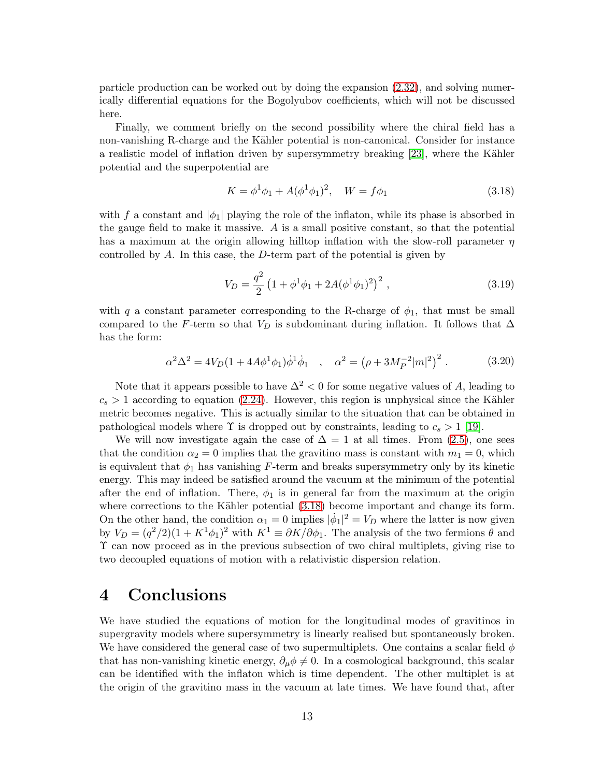particle production can be worked out by doing the expansion [\(2.32\)](#page-7-4), and solving numerically differential equations for the Bogolyubov coefficients, which will not be discussed here.

Finally, we comment briefly on the second possibility where the chiral field has a non-vanishing R-charge and the Kähler potential is non-canonical. Consider for instance a realistic model of inflation driven by supersymmetry breaking [\[23\]](#page-15-9), where the Kähler potential and the superpotential are

<span id="page-12-1"></span>
$$
K = \phi^1 \phi_1 + A(\phi^1 \phi_1)^2, \quad W = f\phi_1 \tag{3.18}
$$

with f a constant and  $|\phi_1|$  playing the role of the inflaton, while its phase is absorbed in the gauge field to make it massive. A is a small positive constant, so that the potential has a maximum at the origin allowing hilltop inflation with the slow-roll parameter  $\eta$ controlled by A. In this case, the D-term part of the potential is given by

$$
V_D = \frac{q^2}{2} \left( 1 + \phi^1 \phi_1 + 2A(\phi^1 \phi_1)^2 \right)^2, \tag{3.19}
$$

with q a constant parameter corresponding to the R-charge of  $\phi_1$ , that must be small compared to the F-term so that  $V_D$  is subdominant during inflation. It follows that  $\Delta$ has the form:

$$
\alpha^2 \Delta^2 = 4V_D (1 + 4A\phi^1 \phi_1) \dot{\phi}^1 \dot{\phi}_1 \quad , \quad \alpha^2 = (\rho + 3M_P^{-2} |m|^2)^2 \; . \tag{3.20}
$$

Note that it appears possible to have  $\Delta^2$  < 0 for some negative values of A, leading to  $c_s > 1$  according to equation [\(2.24\)](#page-6-1). However, this region is unphysical since the Kähler metric becomes negative. This is actually similar to the situation that can be obtained in pathological models where  $\Upsilon$  is dropped out by constraints, leading to  $c_s > 1$  [\[19\]](#page-15-4).

We will now investigate again the case of  $\Delta = 1$  at all times. From [\(2.5\)](#page-3-1), one sees that the condition  $\alpha_2 = 0$  implies that the gravitino mass is constant with  $m_1 = 0$ , which is equivalent that  $\phi_1$  has vanishing F-term and breaks supersymmetry only by its kinetic energy. This may indeed be satisfied around the vacuum at the minimum of the potential after the end of inflation. There,  $\phi_1$  is in general far from the maximum at the origin where corrections to the Kähler potential  $(3.18)$  become important and change its form. On the other hand, the condition  $\alpha_1 = 0$  implies  $|\dot{\phi}_1|^2 = V_D$  where the latter is now given by  $V_D = (q^2/2)(1 + K^1\phi_1)^2$  with  $K^1 \equiv \partial K/\partial \phi_1$ . The analysis of the two fermions  $\theta$  and Υ can now proceed as in the previous subsection of two chiral multiplets, giving rise to two decoupled equations of motion with a relativistic dispersion relation.

### <span id="page-12-0"></span>4 Conclusions

We have studied the equations of motion for the longitudinal modes of gravitinos in supergravity models where supersymmetry is linearly realised but spontaneously broken. We have considered the general case of two supermultiplets. One contains a scalar field  $\phi$ that has non-vanishing kinetic energy,  $\partial_{\mu}\phi \neq 0$ . In a cosmological background, this scalar can be identified with the inflaton which is time dependent. The other multiplet is at the origin of the gravitino mass in the vacuum at late times. We have found that, after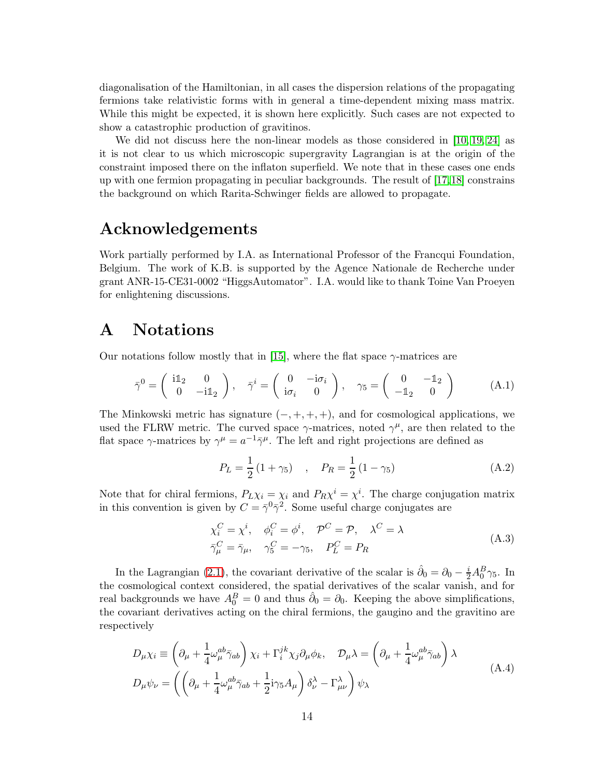diagonalisation of the Hamiltonian, in all cases the dispersion relations of the propagating fermions take relativistic forms with in general a time-dependent mixing mass matrix. While this might be expected, it is shown here explicitly. Such cases are not expected to show a catastrophic production of gravitinos.

We did not discuss here the non-linear models as those considered in [\[10,](#page-14-3) [19,](#page-15-4) [24\]](#page-15-10) as it is not clear to us which microscopic supergravity Lagrangian is at the origin of the constraint imposed there on the inflaton superfield. We note that in these cases one ends up with one fermion propagating in peculiar backgrounds. The result of [\[17,](#page-15-2)[18\]](#page-15-3) constrains the background on which Rarita-Schwinger fields are allowed to propagate.

### Acknowledgements

Work partially performed by I.A. as International Professor of the Francqui Foundation, Belgium. The work of K.B. is supported by the Agence Nationale de Recherche under grant ANR-15-CE31-0002 "HiggsAutomator". I.A. would like to thank Toine Van Proeyen for enlightening discussions.

### <span id="page-13-0"></span>A Notations

Our notations follow mostly that in [\[15\]](#page-15-0), where the flat space  $\gamma$ -matrices are

$$
\bar{\gamma}^0 = \begin{pmatrix} i\mathbb{1}_2 & 0 \\ 0 & -i\mathbb{1}_2 \end{pmatrix}, \quad \bar{\gamma}^i = \begin{pmatrix} 0 & -i\sigma_i \\ i\sigma_i & 0 \end{pmatrix}, \quad \gamma_5 = \begin{pmatrix} 0 & -\mathbb{1}_2 \\ -\mathbb{1}_2 & 0 \end{pmatrix}
$$
 (A.1)

The Minkowski metric has signature  $(-, +, +, +)$ , and for cosmological applications, we used the FLRW metric. The curved space  $\gamma$ -matrices, noted  $\gamma^{\mu}$ , are then related to the flat space  $\gamma$ -matrices by  $\gamma^{\mu} = a^{-1} \bar{\gamma}^{\mu}$ . The left and right projections are defined as

$$
P_L = \frac{1}{2} (1 + \gamma_5) \quad , \quad P_R = \frac{1}{2} (1 - \gamma_5) \tag{A.2}
$$

Note that for chiral fermions,  $P_L \chi_i = \chi_i$  and  $P_R \chi^i = \chi^i$ . The charge conjugation matrix in this convention is given by  $C = \bar{\gamma}^0 \bar{\gamma}^2$ . Some useful charge conjugates are

$$
\chi_i^C = \chi^i, \quad \phi_i^C = \phi^i, \quad \mathcal{P}^C = \mathcal{P}, \quad \lambda^C = \lambda
$$
  

$$
\bar{\gamma}_{\mu}^C = \bar{\gamma}_{\mu}, \quad \gamma_5^C = -\gamma_5, \quad P_L^C = P_R
$$
 (A.3)

In the Lagrangian [\(2.1\)](#page-2-2), the covariant derivative of the scalar is  $\hat{\partial}_0 = \partial_0 - \frac{i}{2} A_0^B \gamma_5$ . In the cosmological context considered, the spatial derivatives of the scalar vanish, and for real backgrounds we have  $A_0^B = 0$  and thus  $\hat{\partial}_0 = \partial_0$ . Keeping the above simplifications, the covariant derivatives acting on the chiral fermions, the gaugino and the gravitino are respectively

$$
D_{\mu}\chi_{i} \equiv \left(\partial_{\mu} + \frac{1}{4}\omega_{\mu}^{ab}\bar{\gamma}_{ab}\right)\chi_{i} + \Gamma_{i}^{jk}\chi_{j}\partial_{\mu}\phi_{k}, \quad D_{\mu}\lambda = \left(\partial_{\mu} + \frac{1}{4}\omega_{\mu}^{ab}\bar{\gamma}_{ab}\right)\lambda
$$
  
\n
$$
D_{\mu}\psi_{\nu} = \left(\left(\partial_{\mu} + \frac{1}{4}\omega_{\mu}^{ab}\bar{\gamma}_{ab} + \frac{1}{2}\mathrm{i}\gamma_{5}A_{\mu}\right)\delta_{\nu}^{\lambda} - \Gamma_{\mu\nu}^{\lambda}\right)\psi_{\lambda}
$$
\n(A.4)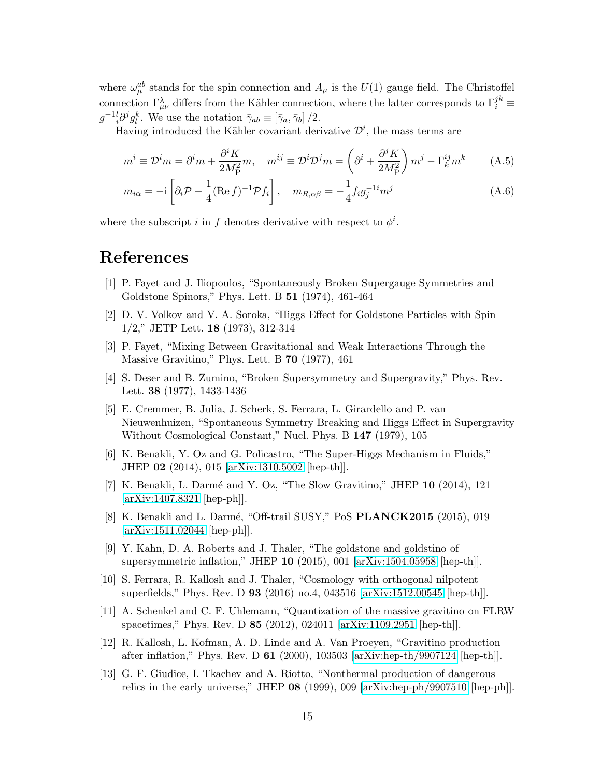where  $\omega_{\mu}^{ab}$  stands for the spin connection and  $A_{\mu}$  is the  $U(1)$  gauge field. The Christoffel connection  $\Gamma_{\mu\nu}^{\lambda}$  differs from the Kähler connection, where the latter corresponds to  $\Gamma_i^{jk}$  $g^{-1}{}_{i}^{l}\partial^{j}g_{l}^{k}$ . We use the notation  $\bar{\gamma}_{ab} \equiv [\bar{\gamma}_{a}, \bar{\gamma}_{b}]/2$ .

Having introduced the Kähler covariant derivative  $\mathcal{D}^i$ , the mass terms are

$$
m^{i} \equiv \mathcal{D}^{i}m = \partial^{i}m + \frac{\partial^{i}K}{2M_{P}^{2}}m, \quad m^{ij} \equiv \mathcal{D}^{i}\mathcal{D}^{j}m = \left(\partial^{i} + \frac{\partial^{j}K}{2M_{P}^{2}}\right)m^{j} - \Gamma_{k}^{ij}m^{k}
$$
(A.5)

$$
m_{i\alpha} = -i \left[ \partial_i \mathcal{P} - \frac{1}{4} (\text{Re } f)^{-1} \mathcal{P} f_i \right], \quad m_{R,\alpha\beta} = -\frac{1}{4} f_i g_j^{-1} m^j \tag{A.6}
$$

where the subscript i in f denotes derivative with respect to  $\phi^i$ .

## <span id="page-14-0"></span>References

- [1] P. Fayet and J. Iliopoulos, "Spontaneously Broken Supergauge Symmetries and Goldstone Spinors," Phys. Lett. B 51 (1974), 461-464
- [2] D. V. Volkov and V. A. Soroka, "Higgs Effect for Goldstone Particles with Spin 1/2," JETP Lett. 18 (1973), 312-314
- [3] P. Fayet, "Mixing Between Gravitational and Weak Interactions Through the Massive Gravitino," Phys. Lett. B 70 (1977), 461
- <span id="page-14-1"></span>[4] S. Deser and B. Zumino, "Broken Supersymmetry and Supergravity," Phys. Rev. Lett. 38 (1977), 1433-1436
- [5] E. Cremmer, B. Julia, J. Scherk, S. Ferrara, L. Girardello and P. van Nieuwenhuizen, "Spontaneous Symmetry Breaking and Higgs Effect in Supergravity Without Cosmological Constant," Nucl. Phys. B 147 (1979), 105
- <span id="page-14-2"></span>[6] K. Benakli, Y. Oz and G. Policastro, "The Super-Higgs Mechanism in Fluids," JHEP 02 (2014), 015 [\[arXiv:1310.5002](http://arxiv.org/abs/1310.5002) [hep-th]].
- [7] K. Benakli, L. Darmé and Y. Oz, "The Slow Gravitino," JHEP  $10$  (2014), 121 [\[arXiv:1407.8321](http://arxiv.org/abs/1407.8321) [hep-ph]].
- [8] K. Benakli and L. Darmé, "Off-trail SUSY," PoS **PLANCK2015** (2015), 019 [\[arXiv:1511.02044](http://arxiv.org/abs/1511.02044) [hep-ph]].
- [9] Y. Kahn, D. A. Roberts and J. Thaler, "The goldstone and goldstino of supersymmetric inflation," JHEP 10 (2015), 001 [\[arXiv:1504.05958](http://arxiv.org/abs/1504.05958) [hep-th]].
- <span id="page-14-3"></span>[10] S. Ferrara, R. Kallosh and J. Thaler, "Cosmology with orthogonal nilpotent superfields," Phys. Rev. D 93 (2016) no.4, 043516 [\[arXiv:1512.00545](http://arxiv.org/abs/1512.00545) [hep-th]].
- <span id="page-14-4"></span>[11] A. Schenkel and C. F. Uhlemann, "Quantization of the massive gravitino on FLRW spacetimes," Phys. Rev. D 85 (2012), 024011 [\[arXiv:1109.2951](http://arxiv.org/abs/1109.2951) [hep-th]].
- <span id="page-14-5"></span>[12] R. Kallosh, L. Kofman, A. D. Linde and A. Van Proeyen, "Gravitino production after inflation," Phys. Rev. D 61 (2000), 103503 [\[arXiv:hep-th/9907124](http://arxiv.org/abs/hep-th/9907124) [hep-th]].
- [13] G. F. Giudice, I. Tkachev and A. Riotto, "Nonthermal production of dangerous relics in the early universe," JHEP 08 (1999), 009 [\[arXiv:hep-ph/9907510](http://arxiv.org/abs/hep-ph/9907510) [hep-ph]].